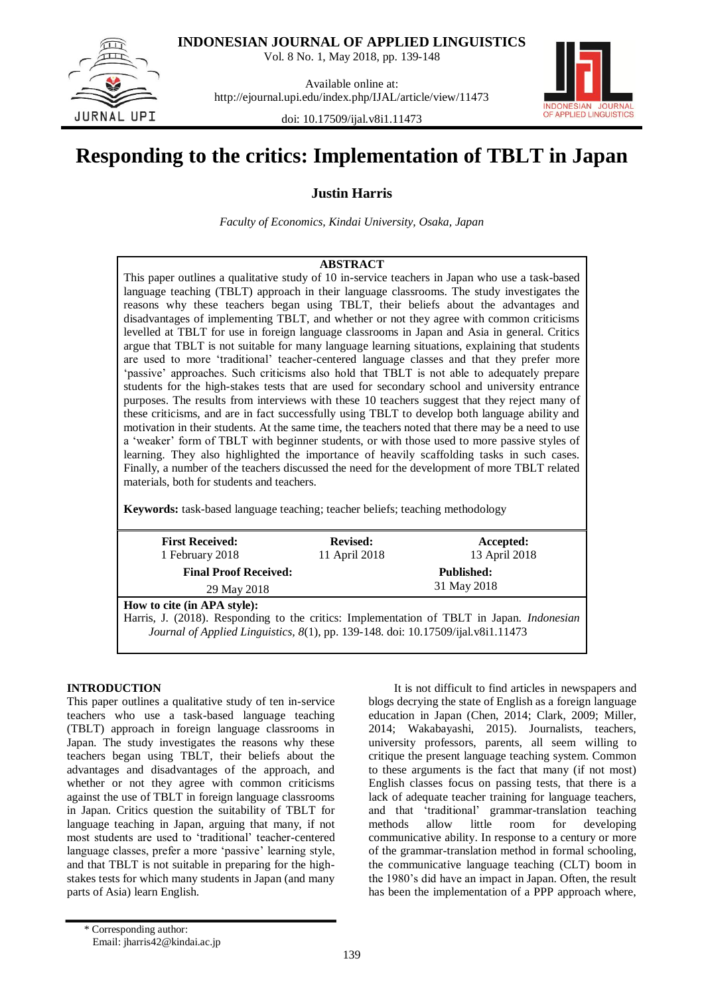**INDONESIAN JOURNAL OF APPLIED LINGUISTICS**

Vol. 8 No. 1, May 2018, pp. 139-148

**UPT** IR N A I

Available online at: http://ejournal.upi.edu/index.php/IJAL/article/view/11473



doi: 10.17509/ijal.v8i1.11473

# **Responding to the critics: Implementation of TBLT in Japan**

**Justin Harris**

*Faculty of Economics, Kindai University, Osaka, Japan*

# **ABSTRACT**

This paper outlines a qualitative study of 10 in-service teachers in Japan who use a task-based language teaching (TBLT) approach in their language classrooms. The study investigates the reasons why these teachers began using TBLT, their beliefs about the advantages and disadvantages of implementing TBLT, and whether or not they agree with common criticisms levelled at TBLT for use in foreign language classrooms in Japan and Asia in general. Critics argue that TBLT is not suitable for many language learning situations, explaining that students are used to more "traditional" teacher-centered language classes and that they prefer more "passive" approaches. Such criticisms also hold that TBLT is not able to adequately prepare students for the high-stakes tests that are used for secondary school and university entrance purposes. The results from interviews with these 10 teachers suggest that they reject many of these criticisms, and are in fact successfully using TBLT to develop both language ability and motivation in their students. At the same time, the teachers noted that there may be a need to use a "weaker" form of TBLT with beginner students, or with those used to more passive styles of learning. They also highlighted the importance of heavily scaffolding tasks in such cases. Finally, a number of the teachers discussed the need for the development of more TBLT related materials, both for students and teachers.

**Keywords:** task-based language teaching; teacher beliefs; teaching methodology

| <b>First Received:</b>                                                                    | <b>Revised:</b>   | Accepted:     |  |  |  |
|-------------------------------------------------------------------------------------------|-------------------|---------------|--|--|--|
| 1 February 2018                                                                           | 11 April 2018     | 13 April 2018 |  |  |  |
| <b>Final Proof Received:</b>                                                              | <b>Published:</b> |               |  |  |  |
| 29 May 2018                                                                               | 31 May 2018       |               |  |  |  |
| How to cite (in APA style):                                                               |                   |               |  |  |  |
| Harris, J. (2018). Responding to the critics: Implementation of TBLT in Japan. Indonesian |                   |               |  |  |  |
| Journal of Applied Linguistics, 8(1), pp. 139-148. doi: 10.17509/ijal.v8i1.11473          |                   |               |  |  |  |
|                                                                                           |                   |               |  |  |  |

## **INTRODUCTION**

This paper outlines a qualitative study of ten in-service teachers who use a task-based language teaching (TBLT) approach in foreign language classrooms in Japan. The study investigates the reasons why these teachers began using TBLT, their beliefs about the advantages and disadvantages of the approach, and whether or not they agree with common criticisms against the use of TBLT in foreign language classrooms in Japan. Critics question the suitability of TBLT for language teaching in Japan, arguing that many, if not most students are used to "traditional" teacher-centered language classes, prefer a more 'passive' learning style, and that TBLT is not suitable in preparing for the highstakes tests for which many students in Japan (and many parts of Asia) learn English.

It is not difficult to find articles in newspapers and blogs decrying the state of English as a foreign language education in Japan (Chen, 2014; Clark, 2009; Miller, 2014; Wakabayashi, 2015). Journalists, teachers, university professors, parents, all seem willing to critique the present language teaching system. Common to these arguments is the fact that many (if not most) English classes focus on passing tests, that there is a lack of adequate teacher training for language teachers, and that "traditional" grammar-translation teaching methods allow little room for developing communicative ability. In response to a century or more of the grammar-translation method in formal schooling, the communicative language teaching (CLT) boom in the 1980"s did have an impact in Japan. Often, the result has been the implementation of a PPP approach where,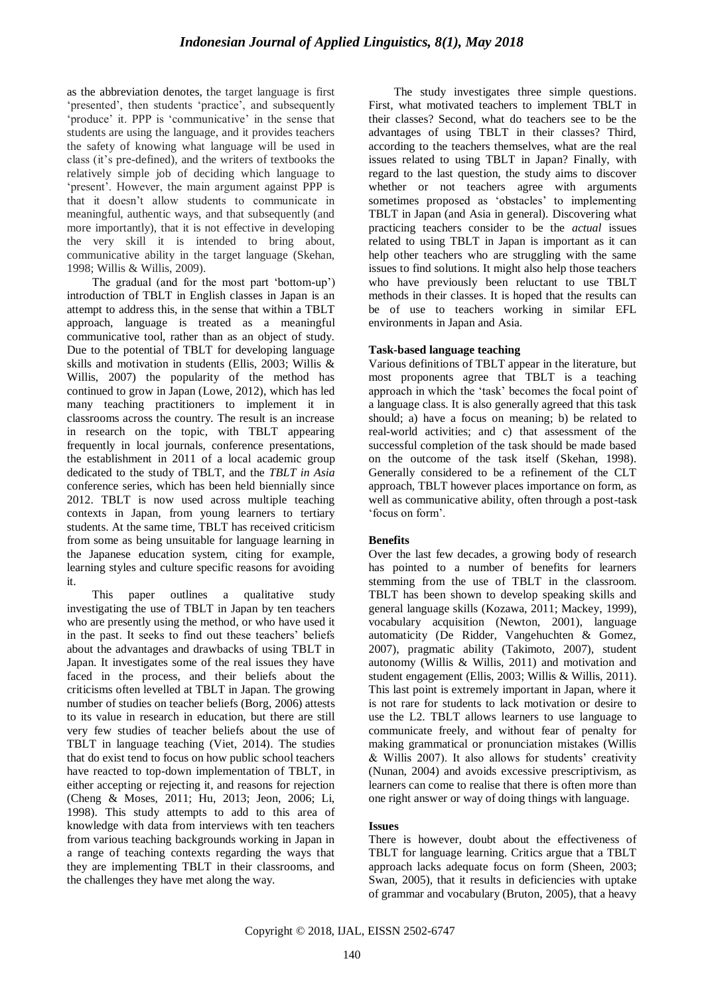as the abbreviation denotes, the target language is first 'presented', then students 'practice', and subsequently 'produce' it. PPP is 'communicative' in the sense that students are using the language, and it provides teachers the safety of knowing what language will be used in class (it"s pre-defined), and the writers of textbooks the relatively simple job of deciding which language to 'present'. However, the main argument against PPP is that it doesn"t allow students to communicate in meaningful, authentic ways, and that subsequently (and more importantly), that it is not effective in developing the very skill it is intended to bring about, communicative ability in the target language (Skehan, 1998; Willis & Willis, 2009).

The gradual (and for the most part 'bottom-up') introduction of TBLT in English classes in Japan is an attempt to address this, in the sense that within a TBLT approach, language is treated as a meaningful communicative tool, rather than as an object of study. Due to the potential of TBLT for developing language skills and motivation in students (Ellis, 2003; Willis & Willis, 2007) the popularity of the method has continued to grow in Japan (Lowe, 2012), which has led many teaching practitioners to implement it in classrooms across the country. The result is an increase in research on the topic, with TBLT appearing frequently in local journals, conference presentations, the establishment in 2011 of a local academic group dedicated to the study of TBLT, and the *TBLT in Asia* conference series, which has been held biennially since 2012. TBLT is now used across multiple teaching contexts in Japan, from young learners to tertiary students. At the same time, TBLT has received criticism from some as being unsuitable for language learning in the Japanese education system, citing for example, learning styles and culture specific reasons for avoiding it.

This paper outlines a qualitative study investigating the use of TBLT in Japan by ten teachers who are presently using the method, or who have used it in the past. It seeks to find out these teachers' beliefs about the advantages and drawbacks of using TBLT in Japan. It investigates some of the real issues they have faced in the process, and their beliefs about the criticisms often levelled at TBLT in Japan. The growing number of studies on teacher beliefs (Borg, 2006) attests to its value in research in education, but there are still very few studies of teacher beliefs about the use of TBLT in language teaching (Viet, 2014). The studies that do exist tend to focus on how public school teachers have reacted to top-down implementation of TBLT, in either accepting or rejecting it, and reasons for rejection (Cheng & Moses, 2011; Hu, 2013; Jeon, 2006; Li, 1998). This study attempts to add to this area of knowledge with data from interviews with ten teachers from various teaching backgrounds working in Japan in a range of teaching contexts regarding the ways that they are implementing TBLT in their classrooms, and the challenges they have met along the way.

The study investigates three simple questions. First, what motivated teachers to implement TBLT in their classes? Second, what do teachers see to be the advantages of using TBLT in their classes? Third, according to the teachers themselves, what are the real issues related to using TBLT in Japan? Finally, with regard to the last question, the study aims to discover whether or not teachers agree with arguments sometimes proposed as 'obstacles' to implementing TBLT in Japan (and Asia in general). Discovering what practicing teachers consider to be the *actual* issues related to using TBLT in Japan is important as it can help other teachers who are struggling with the same issues to find solutions. It might also help those teachers who have previously been reluctant to use TBLT methods in their classes. It is hoped that the results can be of use to teachers working in similar EFL environments in Japan and Asia.

# **Task-based language teaching**

Various definitions of TBLT appear in the literature, but most proponents agree that TBLT is a teaching approach in which the "task" becomes the focal point of a language class. It is also generally agreed that this task should; a) have a focus on meaning; b) be related to real-world activities; and c) that assessment of the successful completion of the task should be made based on the outcome of the task itself (Skehan, 1998). Generally considered to be a refinement of the CLT approach, TBLT however places importance on form, as well as communicative ability, often through a post-task "focus on form".

# **Benefits**

Over the last few decades, a growing body of research has pointed to a number of benefits for learners stemming from the use of TBLT in the classroom. TBLT has been shown to develop speaking skills and general language skills (Kozawa, 2011; Mackey, 1999), vocabulary acquisition (Newton, 2001), language automaticity (De Ridder, Vangehuchten & Gomez, 2007), pragmatic ability (Takimoto, 2007), student autonomy (Willis & Willis, 2011) and motivation and student engagement (Ellis, 2003; Willis & Willis, 2011). This last point is extremely important in Japan, where it is not rare for students to lack motivation or desire to use the L2. TBLT allows learners to use language to communicate freely, and without fear of penalty for making grammatical or pronunciation mistakes (Willis  $&$  Willis 2007). It also allows for students' creativity (Nunan, 2004) and avoids excessive prescriptivism, as learners can come to realise that there is often more than one right answer or way of doing things with language.

## **Issues**

There is however, doubt about the effectiveness of TBLT for language learning. Critics argue that a TBLT approach lacks adequate focus on form (Sheen, 2003; Swan, 2005), that it results in deficiencies with uptake of grammar and vocabulary (Bruton, 2005), that a heavy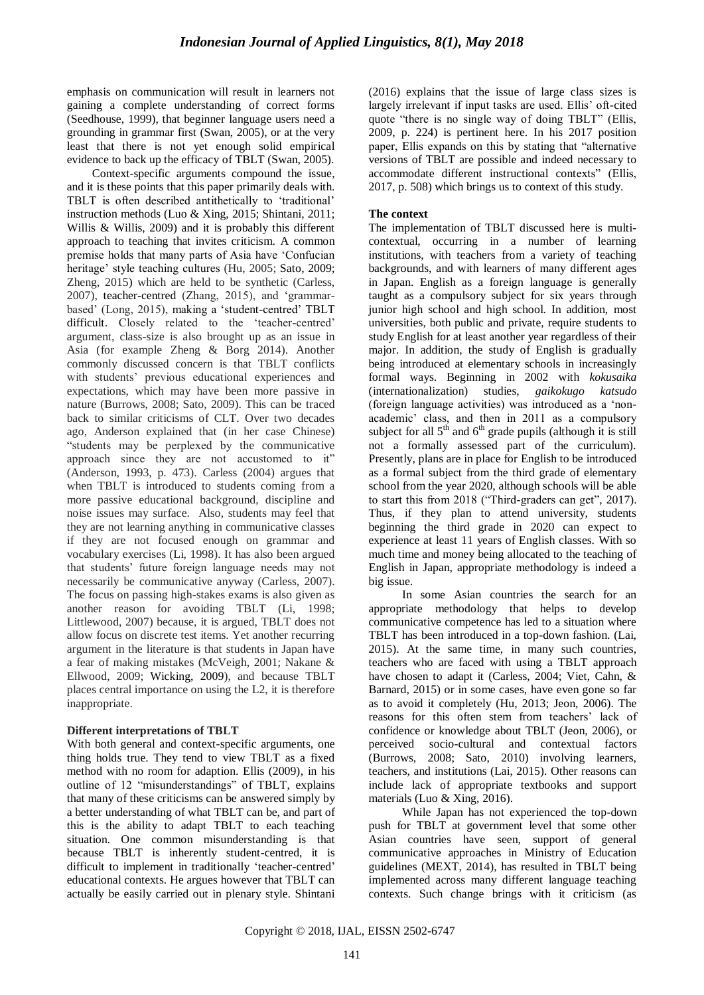emphasis on communication will result in learners not gaining a complete understanding of correct forms (Seedhouse, 1999), that beginner language users need a grounding in grammar first (Swan, 2005), or at the very least that there is not yet enough solid empirical evidence to back up the efficacy of TBLT (Swan, 2005).

Context-specific arguments compound the issue, and it is these points that this paper primarily deals with. TBLT is often described antithetically to 'traditional' instruction methods (Luo & Xing, 2015; Shintani, 2011; Willis & Willis, 2009) and it is probably this different approach to teaching that invites criticism. A common premise holds that many parts of Asia have "Confucian heritage' style teaching cultures (Hu, 2005; Sato, 2009; Zheng, 2015) which are held to be synthetic (Carless, 2007), teacher-centred (Zhang, 2015), and "grammarbased' (Long, 2015), making a 'student-centred' TBLT difficult. Closely related to the "teacher-centred" argument, class-size is also brought up as an issue in Asia (for example Zheng & Borg 2014). Another commonly discussed concern is that TBLT conflicts with students" previous educational experiences and expectations, which may have been more passive in nature (Burrows, 2008; Sato, 2009). This can be traced back to similar criticisms of CLT. Over two decades ago, Anderson explained that (in her case Chinese) "students may be perplexed by the communicative approach since they are not accustomed to it" (Anderson, 1993, p. 473). Carless (2004) argues that when TBLT is introduced to students coming from a more passive educational background, discipline and noise issues may surface. Also, students may feel that they are not learning anything in communicative classes if they are not focused enough on grammar and vocabulary exercises (Li, 1998). It has also been argued that students" future foreign language needs may not necessarily be communicative anyway (Carless, 2007). The focus on passing high-stakes exams is also given as another reason for avoiding TBLT (Li, 1998; Littlewood, 2007) because, it is argued, TBLT does not allow focus on discrete test items. Yet another recurring argument in the literature is that students in Japan have a fear of making mistakes (McVeigh, 2001; Nakane & Ellwood, 2009; Wicking, 2009), and because TBLT places central importance on using the L2, it is therefore inappropriate.

# **Different interpretations of TBLT**

With both general and context-specific arguments, one thing holds true. They tend to view TBLT as a fixed method with no room for adaption. Ellis (2009), in his outline of 12 "misunderstandings" of TBLT, explains that many of these criticisms can be answered simply by a better understanding of what TBLT can be, and part of this is the ability to adapt TBLT to each teaching situation. One common misunderstanding is that because TBLT is inherently student-centred, it is difficult to implement in traditionally 'teacher-centred' educational contexts. He argues however that TBLT can actually be easily carried out in plenary style. Shintani (2016) explains that the issue of large class sizes is largely irrelevant if input tasks are used. Ellis" oft-cited quote "there is no single way of doing TBLT" (Ellis, 2009, p. 224) is pertinent here. In his 2017 position paper, Ellis expands on this by stating that "alternative versions of TBLT are possible and indeed necessary to accommodate different instructional contexts" (Ellis, 2017, p. 508) which brings us to context of this study.

# **The context**

The implementation of TBLT discussed here is multicontextual, occurring in a number of learning institutions, with teachers from a variety of teaching backgrounds, and with learners of many different ages in Japan. English as a foreign language is generally taught as a compulsory subject for six years through junior high school and high school. In addition, most universities, both public and private, require students to study English for at least another year regardless of their major. In addition, the study of English is gradually being introduced at elementary schools in increasingly formal ways. Beginning in 2002 with *kokusaika* (internationalization) studies, *gaikokugo katsudo* (foreign language activities) was introduced as a "nonacademic" class, and then in 2011 as a compulsory subject for all  $5<sup>th</sup>$  and  $6<sup>th</sup>$  grade pupils (although it is still not a formally assessed part of the curriculum). Presently, plans are in place for English to be introduced as a formal subject from the third grade of elementary school from the year 2020, although schools will be able to start this from 2018 ("Third-graders can get", 2017). Thus, if they plan to attend university, students beginning the third grade in 2020 can expect to experience at least 11 years of English classes. With so much time and money being allocated to the teaching of English in Japan, appropriate methodology is indeed a big issue.

In some Asian countries the search for an appropriate methodology that helps to develop communicative competence has led to a situation where TBLT has been introduced in a top-down fashion. (Lai, 2015). At the same time, in many such countries, teachers who are faced with using a TBLT approach have chosen to adapt it (Carless, 2004; Viet, Cahn, & Barnard, 2015) or in some cases, have even gone so far as to avoid it completely (Hu, 2013; Jeon, 2006). The reasons for this often stem from teachers' lack of confidence or knowledge about TBLT (Jeon, 2006), or perceived socio-cultural and contextual factors (Burrows, 2008; Sato, 2010) involving learners, teachers, and institutions (Lai, 2015). Other reasons can include lack of appropriate textbooks and support materials (Luo & Xing, 2016).

While Japan has not experienced the top-down push for TBLT at government level that some other Asian countries have seen, support of general communicative approaches in Ministry of Education guidelines (MEXT, 2014), has resulted in TBLT being implemented across many different language teaching contexts. Such change brings with it criticism (as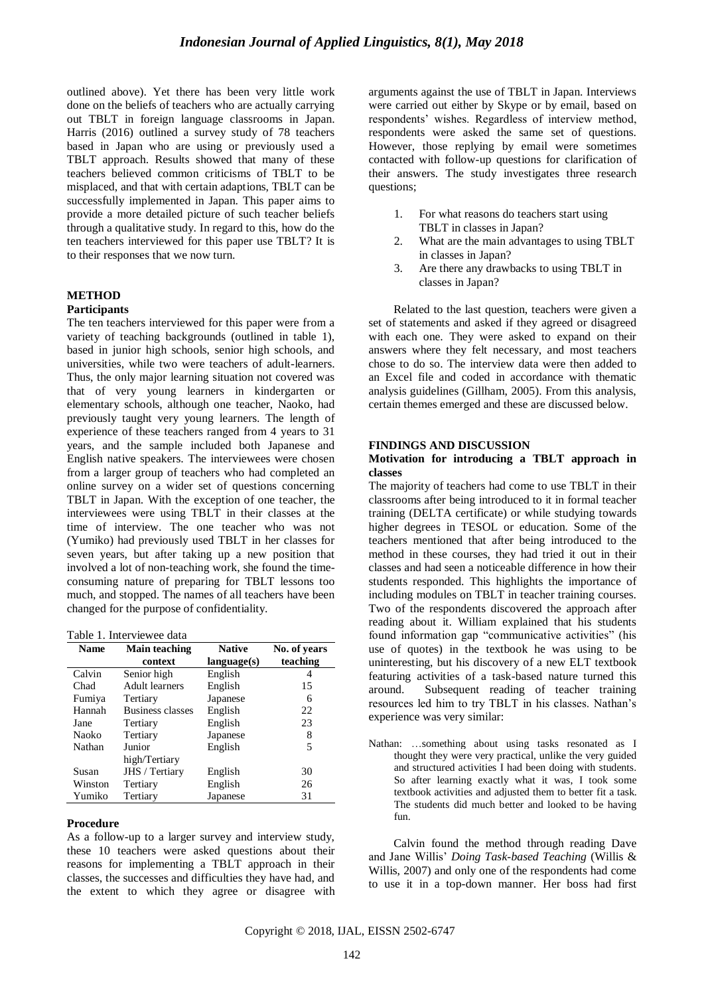outlined above). Yet there has been very little work done on the beliefs of teachers who are actually carrying out TBLT in foreign language classrooms in Japan. Harris (2016) outlined a survey study of 78 teachers based in Japan who are using or previously used a TBLT approach. Results showed that many of these teachers believed common criticisms of TBLT to be misplaced, and that with certain adaptions, TBLT can be successfully implemented in Japan. This paper aims to provide a more detailed picture of such teacher beliefs through a qualitative study. In regard to this, how do the ten teachers interviewed for this paper use TBLT? It is to their responses that we now turn.

#### **METHOD**

#### **Participants**

The ten teachers interviewed for this paper were from a variety of teaching backgrounds (outlined in table 1), based in junior high schools, senior high schools, and universities, while two were teachers of adult-learners. Thus, the only major learning situation not covered was that of very young learners in kindergarten or elementary schools, although one teacher, Naoko, had previously taught very young learners. The length of experience of these teachers ranged from 4 years to 31 years, and the sample included both Japanese and English native speakers. The interviewees were chosen from a larger group of teachers who had completed an online survey on a wider set of questions concerning TBLT in Japan. With the exception of one teacher, the interviewees were using TBLT in their classes at the time of interview. The one teacher who was not (Yumiko) had previously used TBLT in her classes for seven years, but after taking up a new position that involved a lot of non-teaching work, she found the timeconsuming nature of preparing for TBLT lessons too much, and stopped. The names of all teachers have been changed for the purpose of confidentiality.

#### Table 1. Interviewee data

| <b>Name</b> | <b>Main teaching</b> | <b>Native</b> | No. of years |
|-------------|----------------------|---------------|--------------|
|             | context              | language(s)   | teaching     |
| Calvin      | Senior high          | English       |              |
| Chad        | Adult learners       | English       | 15           |
| Fumiya      | Tertiary             | Japanese      | 6            |
| Hannah      | Business classes     | English       | 22           |
| Jane        | Tertiary             | English       | 23           |
| Naoko       | Tertiary             | Japanese      | 8            |
| Nathan      | Junior               | English       | 5            |
|             | high/Tertiary        |               |              |
| Susan       | JHS / Tertiary       | English       | 30           |
| Winston     | Tertiary             | English       | 26           |
| Yumiko      | Tertiary             | Japanese      | 31           |

#### **Procedure**

As a follow-up to a larger survey and interview study, these 10 teachers were asked questions about their reasons for implementing a TBLT approach in their classes, the successes and difficulties they have had, and the extent to which they agree or disagree with arguments against the use of TBLT in Japan. Interviews were carried out either by Skype or by email, based on respondents" wishes. Regardless of interview method, respondents were asked the same set of questions. However, those replying by email were sometimes contacted with follow-up questions for clarification of their answers. The study investigates three research questions;

- 1. For what reasons do teachers start using TBLT in classes in Japan?
- 2. What are the main advantages to using TBLT in classes in Japan?
- 3. Are there any drawbacks to using TBLT in classes in Japan?

Related to the last question, teachers were given a set of statements and asked if they agreed or disagreed with each one. They were asked to expand on their answers where they felt necessary, and most teachers chose to do so. The interview data were then added to an Excel file and coded in accordance with thematic analysis guidelines (Gillham, 2005). From this analysis, certain themes emerged and these are discussed below.

#### **FINDINGS AND DISCUSSION**

#### **Motivation for introducing a TBLT approach in classes**

The majority of teachers had come to use TBLT in their classrooms after being introduced to it in formal teacher training (DELTA certificate) or while studying towards higher degrees in TESOL or education. Some of the teachers mentioned that after being introduced to the method in these courses, they had tried it out in their classes and had seen a noticeable difference in how their students responded. This highlights the importance of including modules on TBLT in teacher training courses. Two of the respondents discovered the approach after reading about it. William explained that his students found information gap "communicative activities" (his use of quotes) in the textbook he was using to be uninteresting, but his discovery of a new ELT textbook featuring activities of a task-based nature turned this around. Subsequent reading of teacher training resources led him to try TBLT in his classes. Nathan"s experience was very similar:

Nathan: …something about using tasks resonated as I thought they were very practical, unlike the very guided and structured activities I had been doing with students. So after learning exactly what it was, I took some textbook activities and adjusted them to better fit a task. The students did much better and looked to be having fun.

Calvin found the method through reading Dave and Jane Willis" *Doing Task-based Teaching* (Willis & Willis, 2007) and only one of the respondents had come to use it in a top-down manner. Her boss had first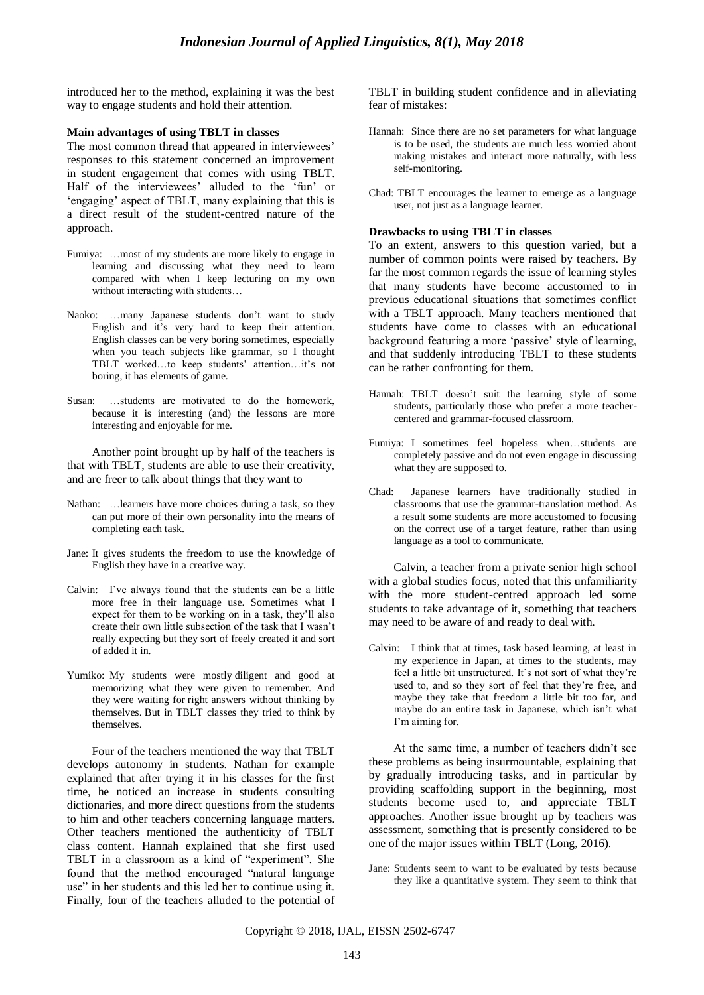introduced her to the method, explaining it was the best way to engage students and hold their attention.

#### **Main advantages of using TBLT in classes**

The most common thread that appeared in interviewees' responses to this statement concerned an improvement in student engagement that comes with using TBLT. Half of the interviewees' alluded to the 'fun' or "engaging" aspect of TBLT, many explaining that this is a direct result of the student-centred nature of the approach.

- Fumiya: …most of my students are more likely to engage in learning and discussing what they need to learn compared with when I keep lecturing on my own without interacting with students…
- Naoko: …many Japanese students don"t want to study English and it's very hard to keep their attention. English classes can be very boring sometimes, especially when you teach subjects like grammar, so I thought TBLT worked...to keep students' attention...it's not boring, it has elements of game.
- Susan: …students are motivated to do the homework, because it is interesting (and) the lessons are more interesting and enjoyable for me.

Another point brought up by half of the teachers is that with TBLT, students are able to use their creativity, and are freer to talk about things that they want to

- Nathan: …learners have more choices during a task, so they can put more of their own personality into the means of completing each task.
- Jane: It gives students the freedom to use the knowledge of English they have in a creative way.
- Calvin: I"ve always found that the students can be a little more free in their language use. Sometimes what I expect for them to be working on in a task, they"ll also create their own little subsection of the task that I wasn"t really expecting but they sort of freely created it and sort of added it in.
- Yumiko: My students were mostly diligent and good at memorizing what they were given to remember. And they were waiting for right answers without thinking by themselves. But in TBLT classes they tried to think by themselves.

Four of the teachers mentioned the way that TBLT develops autonomy in students. Nathan for example explained that after trying it in his classes for the first time, he noticed an increase in students consulting dictionaries, and more direct questions from the students to him and other teachers concerning language matters. Other teachers mentioned the authenticity of TBLT class content. Hannah explained that she first used TBLT in a classroom as a kind of "experiment". She found that the method encouraged "natural language use" in her students and this led her to continue using it. Finally, four of the teachers alluded to the potential of TBLT in building student confidence and in alleviating fear of mistakes:

- Hannah: Since there are no set parameters for what language is to be used, the students are much less worried about making mistakes and interact more naturally, with less self-monitoring.
- Chad: TBLT encourages the learner to emerge as a language user, not just as a language learner.

#### **Drawbacks to using TBLT in classes**

To an extent, answers to this question varied, but a number of common points were raised by teachers. By far the most common regards the issue of learning styles that many students have become accustomed to in previous educational situations that sometimes conflict with a TBLT approach. Many teachers mentioned that students have come to classes with an educational background featuring a more 'passive' style of learning, and that suddenly introducing TBLT to these students can be rather confronting for them.

- Hannah: TBLT doesn't suit the learning style of some students, particularly those who prefer a more teachercentered and grammar-focused classroom.
- Fumiya: I sometimes feel hopeless when…students are completely passive and do not even engage in discussing what they are supposed to.
- Chad: Japanese learners have traditionally studied in classrooms that use the grammar-translation method. As a result some students are more accustomed to focusing on the correct use of a target feature, rather than using language as a tool to communicate.

Calvin, a teacher from a private senior high school with a global studies focus, noted that this unfamiliarity with the more student-centred approach led some students to take advantage of it, something that teachers may need to be aware of and ready to deal with.

Calvin: I think that at times, task based learning, at least in my experience in Japan, at times to the students, may feel a little bit unstructured. It's not sort of what they're used to, and so they sort of feel that they"re free, and maybe they take that freedom a little bit too far, and maybe do an entire task in Japanese, which isn"t what I'm aiming for.

At the same time, a number of teachers didn"t see these problems as being insurmountable, explaining that by gradually introducing tasks, and in particular by providing scaffolding support in the beginning, most students become used to, and appreciate TBLT approaches. Another issue brought up by teachers was assessment, something that is presently considered to be one of the major issues within TBLT (Long, 2016).

Jane: Students seem to want to be evaluated by tests because they like a quantitative system. They seem to think that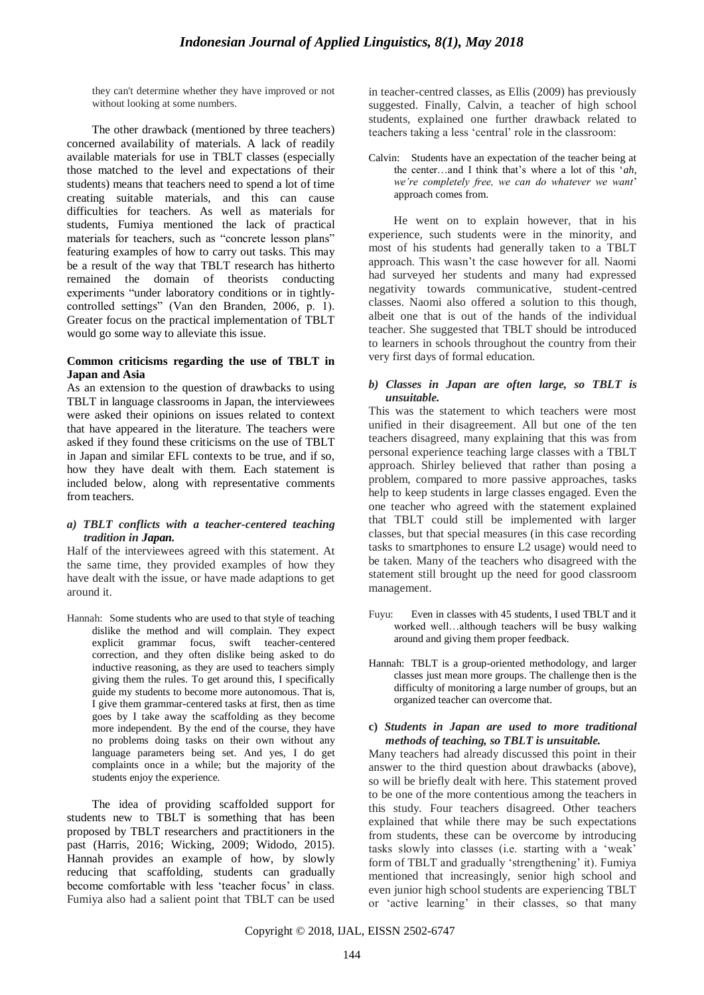they can't determine whether they have improved or not without looking at some numbers.

The other drawback (mentioned by three teachers) concerned availability of materials. A lack of readily available materials for use in TBLT classes (especially those matched to the level and expectations of their students) means that teachers need to spend a lot of time creating suitable materials, and this can cause difficulties for teachers. As well as materials for students, Fumiya mentioned the lack of practical materials for teachers, such as "concrete lesson plans" featuring examples of how to carry out tasks. This may be a result of the way that TBLT research has hitherto remained the domain of theorists conducting experiments "under laboratory conditions or in tightlycontrolled settings" (Van den Branden, 2006, p. 1). Greater focus on the practical implementation of TBLT would go some way to alleviate this issue.

## **Common criticisms regarding the use of TBLT in Japan and Asia**

As an extension to the question of drawbacks to using TBLT in language classrooms in Japan, the interviewees were asked their opinions on issues related to context that have appeared in the literature. The teachers were asked if they found these criticisms on the use of TBLT in Japan and similar EFL contexts to be true, and if so, how they have dealt with them. Each statement is included below, along with representative comments from teachers.

## *a) TBLT conflicts with a teacher-centered teaching tradition in Japan.*

Half of the interviewees agreed with this statement. At the same time, they provided examples of how they have dealt with the issue, or have made adaptions to get around it.

Hannah: Some students who are used to that style of teaching dislike the method and will complain. They expect explicit grammar focus, swift teacher-centered correction, and they often dislike being asked to do inductive reasoning, as they are used to teachers simply giving them the rules. To get around this, I specifically guide my students to become more autonomous. That is, I give them grammar-centered tasks at first, then as time goes by I take away the scaffolding as they become more independent. By the end of the course, they have no problems doing tasks on their own without any language parameters being set. And yes, I do get complaints once in a while; but the majority of the students enjoy the experience.

The idea of providing scaffolded support for students new to TBLT is something that has been proposed by TBLT researchers and practitioners in the past (Harris, 2016; Wicking, 2009; Widodo, 2015). Hannah provides an example of how, by slowly reducing that scaffolding, students can gradually become comfortable with less 'teacher focus' in class. Fumiya also had a salient point that TBLT can be used in teacher-centred classes, as Ellis (2009) has previously suggested. Finally, Calvin, a teacher of high school students, explained one further drawback related to teachers taking a less "central" role in the classroom:

Calvin: Students have an expectation of the teacher being at the center…and I think that"s where a lot of this "*ah,*  we're completely free, we can do whatever we want' approach comes from.

He went on to explain however, that in his experience, such students were in the minority, and most of his students had generally taken to a TBLT approach. This wasn"t the case however for all. Naomi had surveyed her students and many had expressed negativity towards communicative, student-centred classes. Naomi also offered a solution to this though, albeit one that is out of the hands of the individual teacher. She suggested that TBLT should be introduced to learners in schools throughout the country from their very first days of formal education.

*b) Classes in Japan are often large, so TBLT is unsuitable.*

This was the statement to which teachers were most unified in their disagreement. All but one of the ten teachers disagreed, many explaining that this was from personal experience teaching large classes with a TBLT approach. Shirley believed that rather than posing a problem, compared to more passive approaches, tasks help to keep students in large classes engaged. Even the one teacher who agreed with the statement explained that TBLT could still be implemented with larger classes, but that special measures (in this case recording tasks to smartphones to ensure L2 usage) would need to be taken. Many of the teachers who disagreed with the statement still brought up the need for good classroom management.

- Fuyu: Even in classes with 45 students, I used TBLT and it worked well…although teachers will be busy walking around and giving them proper feedback.
- Hannah: TBLT is a group-oriented methodology, and larger classes just mean more groups. The challenge then is the difficulty of monitoring a large number of groups, but an organized teacher can overcome that.

## **c)** *Students in Japan are used to more traditional methods of teaching, so TBLT is unsuitable.*

Many teachers had already discussed this point in their answer to the third question about drawbacks (above), so will be briefly dealt with here. This statement proved to be one of the more contentious among the teachers in this study. Four teachers disagreed. Other teachers explained that while there may be such expectations from students, these can be overcome by introducing tasks slowly into classes (i.e. starting with a "weak" form of TBLT and gradually 'strengthening' it). Fumiya mentioned that increasingly, senior high school and even junior high school students are experiencing TBLT or "active learning" in their classes, so that many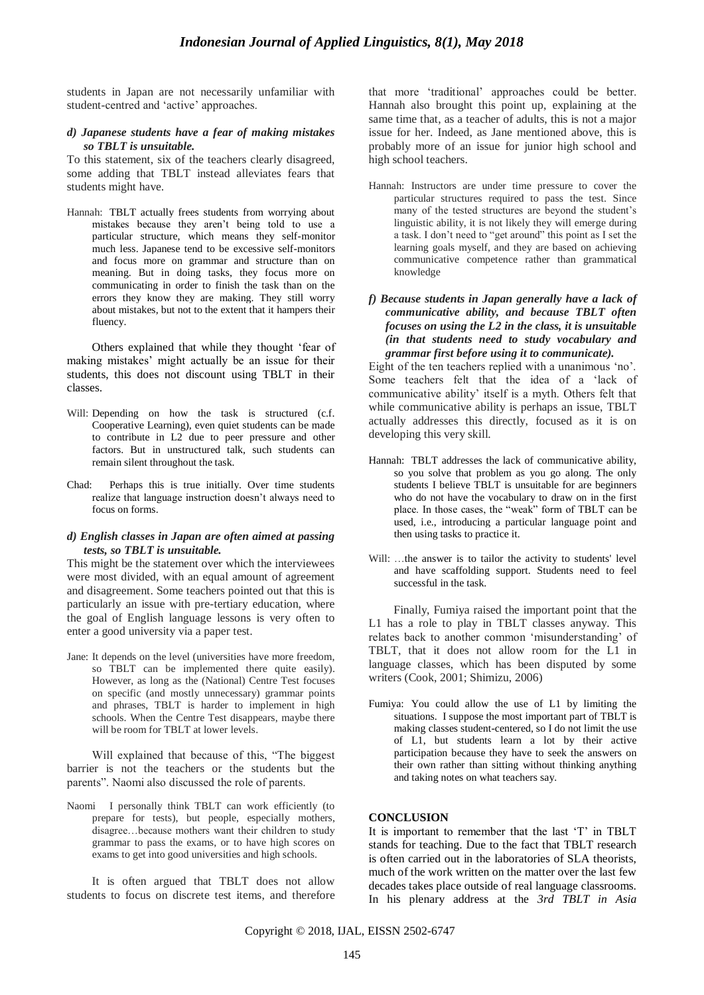students in Japan are not necessarily unfamiliar with student-centred and 'active' approaches.

#### *d) Japanese students have a fear of making mistakes so TBLT is unsuitable.*

To this statement, six of the teachers clearly disagreed, some adding that TBLT instead alleviates fears that students might have.

Hannah: TBLT actually frees students from worrying about mistakes because they aren"t being told to use a particular structure, which means they self-monitor much less. Japanese tend to be excessive self-monitors and focus more on grammar and structure than on meaning. But in doing tasks, they focus more on communicating in order to finish the task than on the errors they know they are making. They still worry about mistakes, but not to the extent that it hampers their fluency.

Others explained that while they thought "fear of making mistakes' might actually be an issue for their students, this does not discount using TBLT in their classes.

- Will: Depending on how the task is structured (c.f. Cooperative Learning), even quiet students can be made to contribute in L2 due to peer pressure and other factors. But in unstructured talk, such students can remain silent throughout the task.
- Chad: Perhaps this is true initially. Over time students realize that language instruction doesn"t always need to focus on forms.

#### *d) English classes in Japan are often aimed at passing tests, so TBLT is unsuitable.*

This might be the statement over which the interviewees were most divided, with an equal amount of agreement and disagreement. Some teachers pointed out that this is particularly an issue with pre-tertiary education, where the goal of English language lessons is very often to enter a good university via a paper test.

Jane: It depends on the level (universities have more freedom, so TBLT can be implemented there quite easily). However, as long as the (National) Centre Test focuses on specific (and mostly unnecessary) grammar points and phrases, TBLT is harder to implement in high schools. When the Centre Test disappears, maybe there will be room for TBLT at lower levels.

Will explained that because of this, "The biggest barrier is not the teachers or the students but the parents". Naomi also discussed the role of parents.

Naomi I personally think TBLT can work efficiently (to prepare for tests), but people, especially mothers, disagree…because mothers want their children to study grammar to pass the exams, or to have high scores on exams to get into good universities and high schools.

It is often argued that TBLT does not allow students to focus on discrete test items, and therefore that more "traditional" approaches could be better. Hannah also brought this point up, explaining at the same time that, as a teacher of adults, this is not a major issue for her. Indeed, as Jane mentioned above, this is probably more of an issue for junior high school and high school teachers.

- Hannah: Instructors are under time pressure to cover the particular structures required to pass the test. Since many of the tested structures are beyond the student"s linguistic ability, it is not likely they will emerge during a task. I don"t need to "get around" this point as I set the learning goals myself, and they are based on achieving communicative competence rather than grammatical knowledge
- *f) Because students in Japan generally have a lack of communicative ability, and because TBLT often focuses on using the L2 in the class, it is unsuitable (in that students need to study vocabulary and grammar first before using it to communicate).*

Eight of the ten teachers replied with a unanimous "no". Some teachers felt that the idea of a "lack of communicative ability" itself is a myth. Others felt that while communicative ability is perhaps an issue, TBLT actually addresses this directly, focused as it is on developing this very skill.

- Hannah: TBLT addresses the lack of communicative ability, so you solve that problem as you go along. The only students I believe TBLT is unsuitable for are beginners who do not have the vocabulary to draw on in the first place. In those cases, the "weak" form of TBLT can be used, i.e., introducing a particular language point and then using tasks to practice it.
- Will: ...the answer is to tailor the activity to students' level and have scaffolding support. Students need to feel successful in the task.

Finally, Fumiya raised the important point that the L1 has a role to play in TBLT classes anyway. This relates back to another common "misunderstanding" of TBLT, that it does not allow room for the L1 in language classes, which has been disputed by some writers (Cook, 2001; Shimizu, 2006)

Fumiya: You could allow the use of L1 by limiting the situations. I suppose the most important part of TBLT is making classes student-centered, so I do not limit the use of L1, but students learn a lot by their active participation because they have to seek the answers on their own rather than sitting without thinking anything and taking notes on what teachers say.

## **CONCLUSION**

It is important to remember that the last "T" in TBLT stands for teaching. Due to the fact that TBLT research is often carried out in the laboratories of SLA theorists, much of the work written on the matter over the last few decades takes place outside of real language classrooms. In his plenary address at the *3rd TBLT in Asia*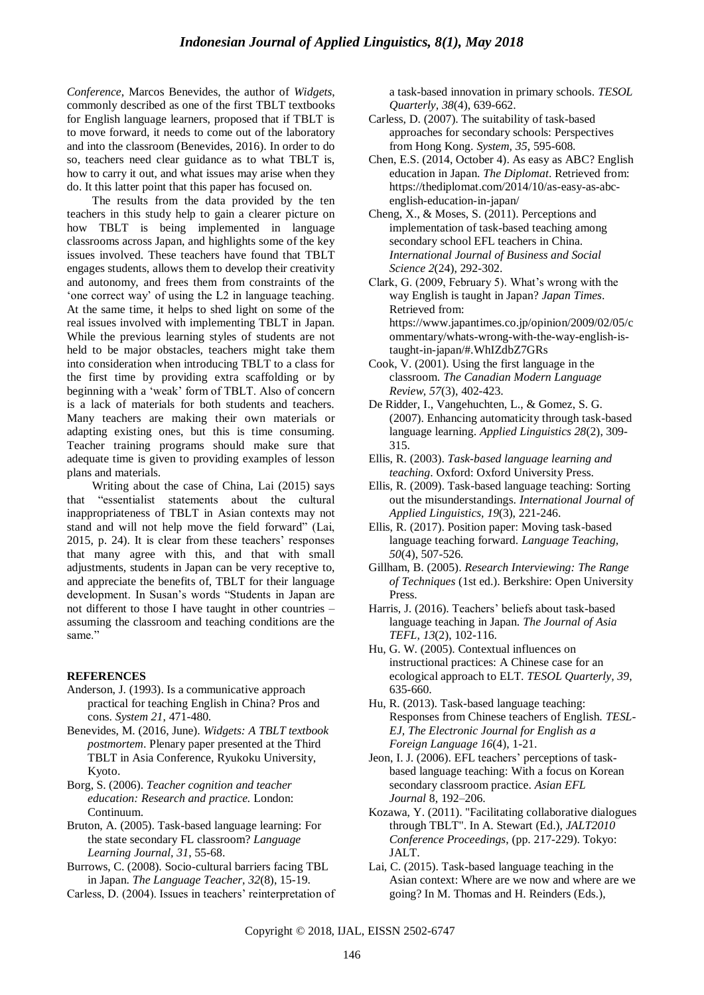*Conference*, Marcos Benevides, the author of *Widgets*, commonly described as one of the first TBLT textbooks for English language learners, proposed that if TBLT is to move forward, it needs to come out of the laboratory and into the classroom (Benevides, 2016). In order to do so, teachers need clear guidance as to what TBLT is, how to carry it out, and what issues may arise when they do. It this latter point that this paper has focused on.

The results from the data provided by the ten teachers in this study help to gain a clearer picture on how TBLT is being implemented in language classrooms across Japan, and highlights some of the key issues involved. These teachers have found that TBLT engages students, allows them to develop their creativity and autonomy, and frees them from constraints of the "one correct way" of using the L2 in language teaching. At the same time, it helps to shed light on some of the real issues involved with implementing TBLT in Japan. While the previous learning styles of students are not held to be major obstacles, teachers might take them into consideration when introducing TBLT to a class for the first time by providing extra scaffolding or by beginning with a "weak" form of TBLT. Also of concern is a lack of materials for both students and teachers. Many teachers are making their own materials or adapting existing ones, but this is time consuming. Teacher training programs should make sure that adequate time is given to providing examples of lesson plans and materials.

Writing about the case of China, Lai (2015) says that "essentialist statements about the cultural inappropriateness of TBLT in Asian contexts may not stand and will not help move the field forward" (Lai, 2015, p. 24). It is clear from these teachers' responses that many agree with this, and that with small adjustments, students in Japan can be very receptive to, and appreciate the benefits of, TBLT for their language development. In Susan"s words "Students in Japan are not different to those I have taught in other countries – assuming the classroom and teaching conditions are the same."

## **REFERENCES**

- Anderson, J. (1993). Is a communicative approach practical for teaching English in China? Pros and cons. *System 21*, 471-480.
- Benevides, M. (2016, June). *Widgets: A TBLT textbook postmortem*. Plenary paper presented at the Third TBLT in Asia Conference, Ryukoku University, Kyoto.
- Borg, S. (2006). *Teacher cognition and teacher education: Research and practice.* London: Continuum.
- Bruton, A. (2005). Task-based language learning: For the state secondary FL classroom? *Language Learning Journal, 31*, 55-68.
- Burrows, C. (2008). Socio-cultural barriers facing TBL in Japan. *The Language Teacher, 32*(8), 15-19.
- Carless, D. (2004). Issues in teachers' reinterpretation of

a task-based innovation in primary schools. *TESOL Quarterly, 38*(4), 639-662.

- Carless, D. (2007). The suitability of task-based approaches for secondary schools: Perspectives from Hong Kong. *System, 35*, 595-608.
- Chen, E.S. (2014, October 4). As easy as ABC? English education in Japan. *The Diplomat*. Retrieved from: https://thediplomat.com/2014/10/as-easy-as-abcenglish-education-in-japan/
- Cheng, X., & Moses, S. (2011). Perceptions and implementation of task-based teaching among secondary school EFL teachers in China. *International Journal of Business and Social Science 2*(24), 292-302.
- Clark, G. (2009, February 5). What"s wrong with the way English is taught in Japan? *Japan Times*. Retrieved from: https://www.japantimes.co.jp/opinion/2009/02/05/c ommentary/whats-wrong-with-the-way-english-istaught-in-japan/#.WhIZdbZ7GRs
- Cook, V. (2001). Using the first language in the classroom. *The Canadian Modern Language Review, 57*(3), 402-423.
- De Ridder, I., Vangehuchten, L., & Gomez, S. G. (2007). Enhancing automaticity through task-based language learning. *Applied Linguistics 28*(2), 309- 315.
- Ellis, R. (2003). *Task-based language learning and teaching*. Oxford: Oxford University Press.
- Ellis, R. (2009). Task-based language teaching: Sorting out the misunderstandings. *International Journal of Applied Linguistics, 19*(3), 221-246.
- Ellis, R. (2017). Position paper: Moving task-based language teaching forward. *Language Teaching, 50*(4), 507-526.
- Gillham, B. (2005). *Research Interviewing: The Range of Techniques* (1st ed.). Berkshire: Open University Press.
- Harris, J. (2016). Teachers' beliefs about task-based language teaching in Japan. *The Journal of Asia TEFL, 13*(2), 102-116.
- Hu, G. W. (2005). Contextual influences on instructional practices: A Chinese case for an ecological approach to ELT. *TESOL Quarterly, 39*, 635-660.
- Hu, R. (2013). Task-based language teaching: Responses from Chinese teachers of English. *TESL-EJ, The Electronic Journal for English as a Foreign Language 16*(4), 1-21.
- Jeon, I. J. (2006). EFL teachers' perceptions of taskbased language teaching: With a focus on Korean secondary classroom practice. *Asian EFL Journal* 8, 192–206.
- Kozawa, Y. (2011). "Facilitating collaborative dialogues through TBLT". In A. Stewart (Ed.), *JALT2010 Conference Proceedings*, (pp. 217-229). Tokyo: JALT.
- Lai, C. (2015). Task-based language teaching in the Asian context: Where are we now and where are we going? In M. Thomas and H. Reinders (Eds.),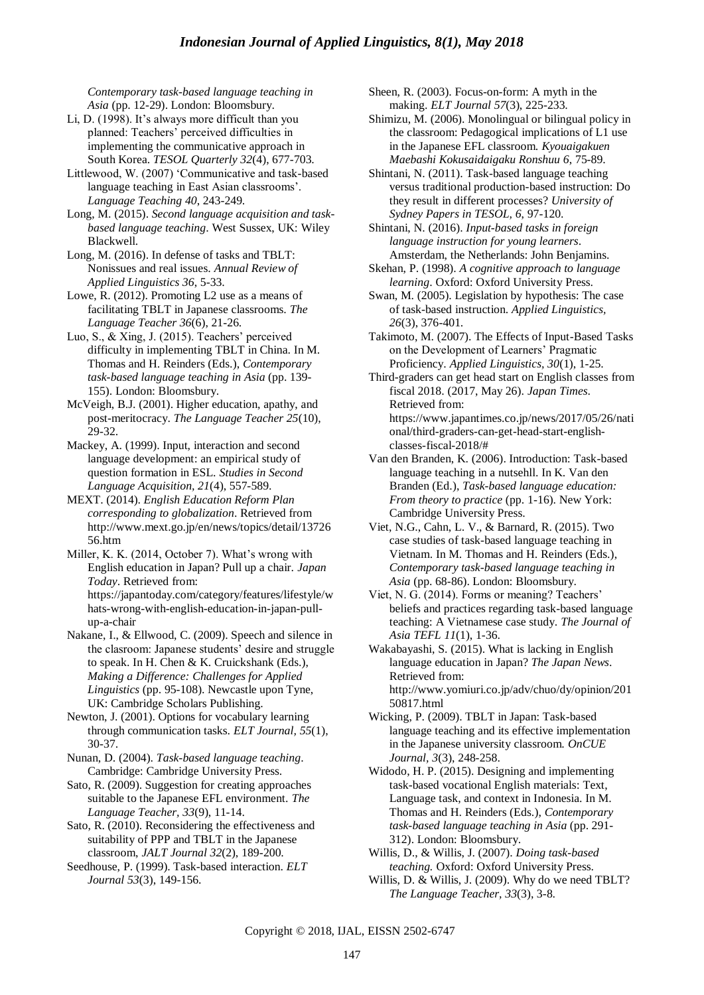*Contemporary task-based language teaching in Asia* (pp. 12-29). London: Bloomsbury.

- Li, D. (1998). It's always more difficult than you planned: Teachers' perceived difficulties in implementing the communicative approach in South Korea. *TESOL Quarterly 32*(4), 677-703.
- Littlewood, W. (2007) "Communicative and task-based language teaching in East Asian classrooms'. *Language Teaching 40*, 243-249.
- Long, M. (2015). *Second language acquisition and taskbased language teaching*. West Sussex, UK: Wiley Blackwell.
- Long, M. (2016). In defense of tasks and TBLT: Nonissues and real issues. *Annual Review of Applied Linguistics 36*, 5-33.
- Lowe, R. (2012). Promoting L2 use as a means of facilitating TBLT in Japanese classrooms. *The Language Teacher 36*(6), 21-26.
- Luo, S., & Xing, J. (2015). Teachers' perceived difficulty in implementing TBLT in China. In M. Thomas and H. Reinders (Eds.), *Contemporary task-based language teaching in Asia* (pp. 139- 155). London: Bloomsbury.
- McVeigh, B.J. (2001). Higher education, apathy, and post-meritocracy. *The Language Teacher 25*(10), 29-32.
- Mackey, A. (1999). Input, interaction and second language development: an empirical study of question formation in ESL. *Studies in Second Language Acquisition, 21*(4), 557-589.
- MEXT. (2014). *English Education Reform Plan corresponding to globalization*. Retrieved from http://www.mext.go.jp/en/news/topics/detail/13726 56.htm

Miller, K. K. (2014, October 7). What's wrong with English education in Japan? Pull up a chair. *Japan Today*. Retrieved from: https://japantoday.com/category/features/lifestyle/w hats-wrong-with-english-education-in-japan-pullup-a-chair

- Nakane, I., & Ellwood, C. (2009). Speech and silence in the clasroom: Japanese students" desire and struggle to speak. In H. Chen & K. Cruickshank (Eds.), *Making a Difference: Challenges for Applied Linguistics* (pp. 95-108). Newcastle upon Tyne, UK: Cambridge Scholars Publishing.
- Newton, J. (2001). Options for vocabulary learning through communication tasks. *ELT Journal, 55*(1), 30-37.
- Nunan, D. (2004). *Task-based language teaching*. Cambridge: Cambridge University Press.
- Sato, R. (2009). Suggestion for creating approaches suitable to the Japanese EFL environment. *The Language Teacher, 33*(9), 11-14.
- Sato, R. (2010). Reconsidering the effectiveness and suitability of PPP and TBLT in the Japanese classroom, *JALT Journal 32*(2), 189-200.
- Seedhouse, P. (1999). Task-based interaction. *ELT Journal 53*(3), 149-156.
- Sheen, R. (2003). Focus-on-form: A myth in the making. *ELT Journal 57*(3), 225-233.
- Shimizu, M. (2006). Monolingual or bilingual policy in the classroom: Pedagogical implications of L1 use in the Japanese EFL classroom. *Kyouaigakuen Maebashi Kokusaidaigaku Ronshuu 6*, 75-89.
- Shintani, N. (2011). Task-based language teaching versus traditional production-based instruction: Do they result in different processes? *University of Sydney Papers in TESOL, 6*, 97-120.
- Shintani, N. (2016). *Input-based tasks in foreign language instruction for young learners*. Amsterdam, the Netherlands: John Benjamins.
- Skehan, P. (1998). *A cognitive approach to language learning*. Oxford: Oxford University Press.
- Swan, M. (2005). Legislation by hypothesis: The case of task-based instruction. *Applied Linguistics, 26*(3), 376-401.
- Takimoto, M. (2007). The Effects of Input-Based Tasks on the Development of Learners" Pragmatic Proficiency. *Applied Linguistics, 30*(1), 1-25.
- Third-graders can get head start on English classes from fiscal 2018. (2017, May 26). *Japan Times*. Retrieved from: https://www.japantimes.co.jp/news/2017/05/26/nati onal/third-graders-can-get-head-start-englishclasses-fiscal-2018/#
- Van den Branden, K. (2006). Introduction: Task-based language teaching in a nutsehll. In K. Van den Branden (Ed.), *Task-based language education: From theory to practice* (pp. 1-16). New York: Cambridge University Press.
- Viet, N.G., Cahn, L. V., & Barnard, R. (2015). Two case studies of task-based language teaching in Vietnam. In M. Thomas and H. Reinders (Eds.), *Contemporary task-based language teaching in Asia* (pp. 68-86). London: Bloomsbury.
- Viet, N. G. (2014). Forms or meaning? Teachers' beliefs and practices regarding task-based language teaching: A Vietnamese case study. *The Journal of Asia TEFL 11*(1), 1-36.
- Wakabayashi, S. (2015). What is lacking in English language education in Japan? *The Japan News*. Retrieved from: http://www.yomiuri.co.jp/adv/chuo/dy/opinion/201 50817.html
- Wicking, P. (2009). TBLT in Japan: Task-based language teaching and its effective implementation in the Japanese university classroom. *OnCUE Journal, 3*(3), 248-258.
- Widodo, H. P. (2015). Designing and implementing task-based vocational English materials: Text, Language task, and context in Indonesia. In M. Thomas and H. Reinders (Eds.), *Contemporary task-based language teaching in Asia* (pp. 291- 312). London: Bloomsbury.
- Willis, D., & Willis, J. (2007). *Doing task-based teaching.* Oxford: Oxford University Press.
- Willis, D. & Willis, J. (2009). Why do we need TBLT? *The Language Teacher, 33*(3), 3-8.